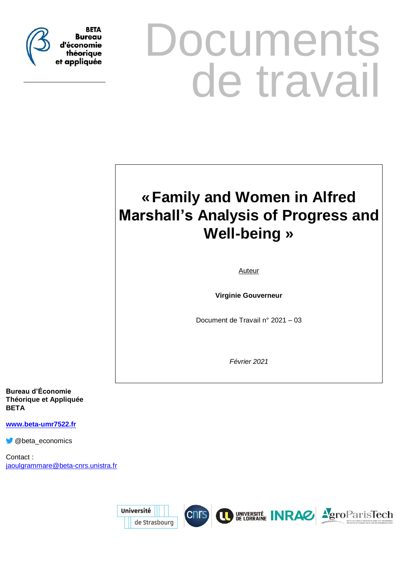

# **Documents** de travail

## **«Family and Women in Alfred Marshall's Analysis of Progress and Well-being »**

Auteur

**Virginie Gouverneur**

Document de Travail n° 2021 – 03

*Février 2021*

**Bureau d'Économie Théorique et Appliquée BETA**

**[www.beta-umr7522.fr](http://www.beta-umr7522.fr/)**

**C** @beta\_economics

Contact : [jaoulgrammare@beta-cnrs.unistra.fr](mailto:jaoulgrammare@beta-cnrs.unistra.fr)

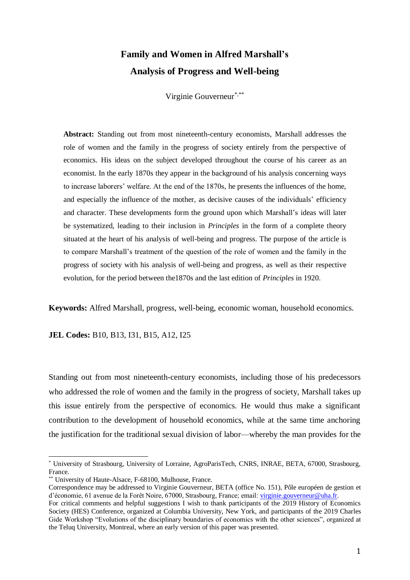### **Family and Women in Alfred Marshall's Analysis of Progress and Well-being**

Virginie Gouverneur\*,\*\*

**Abstract:** Standing out from most nineteenth-century economists, Marshall addresses the role of women and the family in the progress of society entirely from the perspective of economics. His ideas on the subject developed throughout the course of his career as an economist. In the early 1870s they appear in the background of his analysis concerning ways to increase laborers' welfare. At the end of the 1870s, he presents the influences of the home, and especially the influence of the mother, as decisive causes of the individuals' efficiency and character. These developments form the ground upon which Marshall's ideas will later be systematized, leading to their inclusion in *Principles* in the form of a complete theory situated at the heart of his analysis of well-being and progress. The purpose of the article is to compare Marshall's treatment of the question of the role of women and the family in the progress of society with his analysis of well-being and progress, as well as their respective evolution, for the period between the1870s and the last edition of *Principles* in 1920.

**Keywords:** Alfred Marshall, progress, well-being, economic woman, household economics.

**JEL Codes:** B10, B13, I31, B15, A12, I25

Standing out from most nineteenth-century economists, including those of his predecessors who addressed the role of women and the family in the progress of society, Marshall takes up this issue entirely from the perspective of economics. He would thus make a significant contribution to the development of household economics, while at the same time anchoring the justification for the traditional sexual division of labor––whereby the man provides for the

<sup>\*</sup> University of Strasbourg, University of Lorraine, AgroParisTech, CNRS, INRAE, BETA, 67000, Strasbourg, France.

<sup>\*\*</sup> University of Haute-Alsace, F-68100, Mulhouse, France.

Correspondence may be addressed to Virginie Gouverneur, BETA (office No. 151), Pôle européen de gestion et d'économie, 61 avenue de la Forêt Noire, 67000, Strasbourg, France; email: [virginie.gouverneur@uha.fr.](mailto:virginie.gouverneur@uha.fr)

For critical comments and helpful suggestions I wish to thank participants of the 2019 History of Economics Society (HES) Conference, organized at Columbia University, New York, and participants of the 2019 Charles Gide Workshop "Evolutions of the disciplinary boundaries of economics with the other sciences", organized at the Teluq University, Montreal, where an early version of this paper was presented.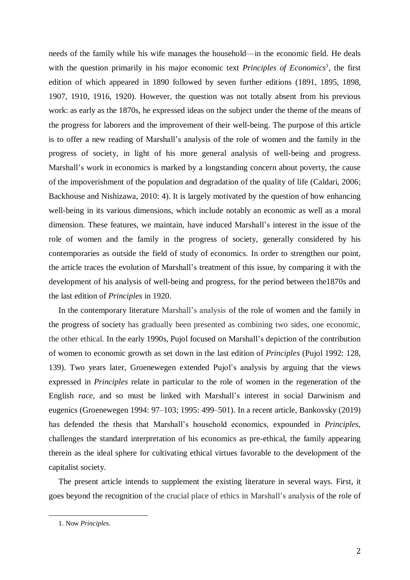needs of the family while his wife manages the household––in the economic field. He deals with the question primarily in his major economic text *Principles of Economics*<sup>1</sup>, the first edition of which appeared in 1890 followed by seven further editions (1891, 1895, 1898, 1907, 1910, 1916, 1920). However, the question was not totally absent from his previous work: as early as the 1870s, he expressed ideas on the subject under the theme of the means of the progress for laborers and the improvement of their well-being. The purpose of this article is to offer a new reading of Marshall's analysis of the role of women and the family in the progress of society, in light of his more general analysis of well-being and progress. Marshall's work in economics is marked by a longstanding concern about poverty, the cause of the impoverishment of the population and degradation of the quality of life (Caldari, 2006; Backhouse and Nishizawa, 2010: 4). It is largely motivated by the question of how enhancing well-being in its various dimensions, which include notably an economic as well as a moral dimension. These features, we maintain, have induced Marshall's interest in the issue of the role of women and the family in the progress of society, generally considered by his contemporaries as outside the field of study of economics. In order to strengthen our point, the article traces the evolution of Marshall's treatment of this issue, by comparing it with the development of his analysis of well-being and progress, for the period between the1870s and the last edition of *Principles* in 1920.

In the contemporary literature Marshall's analysis of the role of women and the family in the progress of society has gradually been presented as combining two sides, one economic, the other ethical. In the early 1990s, Pujol focused on Marshall's depiction of the contribution of women to economic growth as set down in the last edition of *Principles* (Pujol 1992: 128, 139). Two years later, Groenewegen extended Pujol's analysis by arguing that the views expressed in *Principles* relate in particular to the role of women in the regeneration of the English *race*, and so must be linked with Marshall's interest in social Darwinism and eugenics (Groenewegen 1994: 97–103; 1995: 499–501). In a recent article, Bankovsky (2019) has defended the thesis that Marshall's household economics, expounded in *Principles*, challenges the standard interpretation of his economics as pre-ethical, the family appearing therein as the ideal sphere for cultivating ethical virtues favorable to the development of the capitalist society.

The present article intends to supplement the existing literature in several ways. First, it goes beyond the recognition of the crucial place of ethics in Marshall's analysis of the role of

1

<sup>1.</sup> Now *Principles*.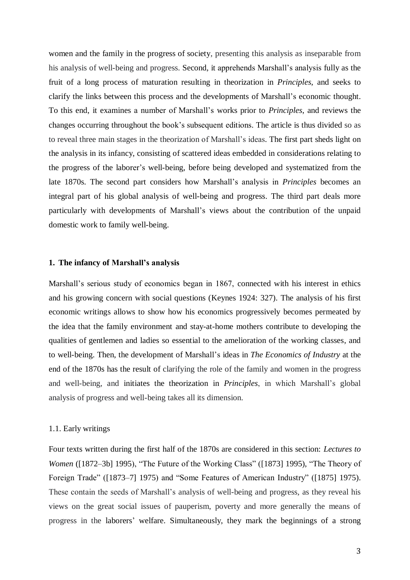women and the family in the progress of society, presenting this analysis as inseparable from his analysis of well-being and progress. Second, it apprehends Marshall's analysis fully as the fruit of a long process of maturation resulting in theorization in *Principles*, and seeks to clarify the links between this process and the developments of Marshall's economic thought. To this end, it examines a number of Marshall's works prior to *Principles*, and reviews the changes occurring throughout the book's subsequent editions. The article is thus divided so as to reveal three main stages in the theorization of Marshall's ideas. The first part sheds light on the analysis in its infancy, consisting of scattered ideas embedded in considerations relating to the progress of the laborer's well-being, before being developed and systematized from the late 1870s. The second part considers how Marshall's analysis in *Principles* becomes an integral part of his global analysis of well-being and progress. The third part deals more particularly with developments of Marshall's views about the contribution of the unpaid domestic work to family well-being.

#### **1. The infancy of Marshall's analysis**

Marshall's serious study of economics began in 1867, connected with his interest in ethics and his growing concern with social questions (Keynes 1924: 327). The analysis of his first economic writings allows to show how his economics progressively becomes permeated by the idea that the family environment and stay-at-home mothers contribute to developing the qualities of gentlemen and ladies so essential to the amelioration of the working classes, and to well-being. Then, the development of Marshall's ideas in *The Economics of Industry* at the end of the 1870s has the result of clarifying the role of the family and women in the progress and well-being, and initiates the theorization in *Principles*, in which Marshall's global analysis of progress and well-being takes all its dimension.

#### 1.1. Early writings

Four texts written during the first half of the 1870s are considered in this section: *Lectures to Women* ([1872–3b] 1995), "The Future of the Working Class" ([1873] 1995), "The Theory of Foreign Trade" ([1873–7] 1975) and "Some Features of American Industry" ([1875] 1975). These contain the seeds of Marshall's analysis of well-being and progress, as they reveal his views on the great social issues of pauperism, poverty and more generally the means of progress in the laborers' welfare. Simultaneously, they mark the beginnings of a strong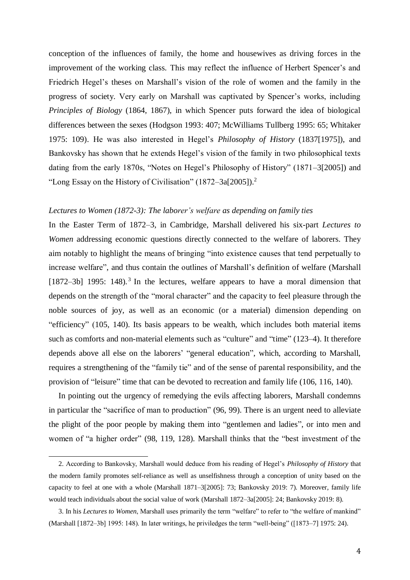conception of the influences of family, the home and housewives as driving forces in the improvement of the working class. This may reflect the influence of Herbert Spencer's and Friedrich Hegel's theses on Marshall's vision of the role of women and the family in the progress of society. Very early on Marshall was captivated by Spencer's works, including *Principles of Biology* (1864, 1867), in which Spencer puts forward the idea of biological differences between the sexes (Hodgson 1993: 407; McWilliams Tullberg 1995: 65; Whitaker 1975: 109). He was also interested in Hegel's *Philosophy of History* (1837[1975]), and Bankovsky has shown that he extends Hegel's vision of the family in two philosophical texts dating from the early 1870s, "Notes on Hegel's Philosophy of History" (1871–3[2005]) and "Long Essay on the History of Civilisation"  $(1872-3a[2005])$ .<sup>2</sup>

#### *Lectures to Women (1872-3): The laborer's welfare as depending on family ties*

In the Easter Term of 1872–3, in Cambridge, Marshall delivered his six-part *Lectures to Women* addressing economic questions directly connected to the welfare of laborers. They aim notably to highlight the means of bringing "into existence causes that tend perpetually to increase welfare", and thus contain the outlines of Marshall's definition of welfare (Marshall  $[1872-3b]$  1995: 148).<sup>3</sup> In the lectures, welfare appears to have a moral dimension that depends on the strength of the "moral character" and the capacity to feel pleasure through the noble sources of joy, as well as an economic (or a material) dimension depending on "efficiency" (105, 140). Its basis appears to be wealth, which includes both material items such as comforts and non-material elements such as "culture" and "time" (123–4). It therefore depends above all else on the laborers' "general education", which, according to Marshall, requires a strengthening of the "family tie" and of the sense of parental responsibility, and the provision of "leisure" time that can be devoted to recreation and family life (106, 116, 140).

In pointing out the urgency of remedying the evils affecting laborers, Marshall condemns in particular the "sacrifice of man to production" (96, 99). There is an urgent need to alleviate the plight of the poor people by making them into "gentlemen and ladies", or into men and women of "a higher order" (98, 119, 128). Marshall thinks that the "best investment of the

<sup>2.</sup> According to Bankovsky, Marshall would deduce from his reading of Hegel's *Philosophy of History* that the modern family promotes self-reliance as well as unselfishness through a conception of unity based on the capacity to feel at one with a whole (Marshall 1871–3[2005]: 73; Bankovsky 2019: 7). Moreover, family life would teach individuals about the social value of work (Marshall 1872–3a[2005]: 24; Bankovsky 2019: 8).

<sup>3.</sup> In his *Lectures to Women*, Marshall uses primarily the term "welfare" to refer to "the welfare of mankind" (Marshall [1872–3b] 1995: 148). In later writings, he priviledges the term "well-being" ([1873–7] 1975: 24).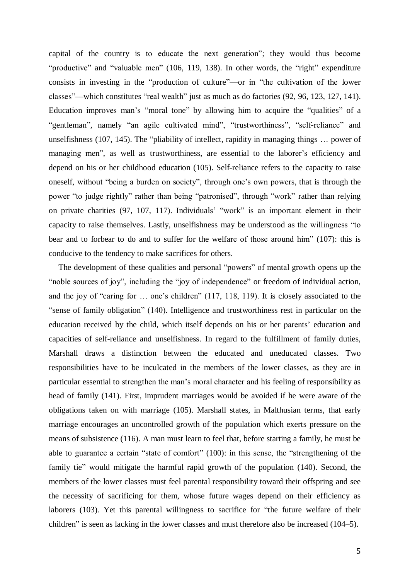capital of the country is to educate the next generation"; they would thus become "productive" and "valuable men" (106, 119, 138). In other words, the "right" expenditure consists in investing in the "production of culture"––or in "the cultivation of the lower classes"––which constitutes "real wealth" just as much as do factories (92, 96, 123, 127, 141). Education improves man's "moral tone" by allowing him to acquire the "qualities" of a "gentleman", namely "an agile cultivated mind", "trustworthiness", "self-reliance" and unselfishness (107, 145). The "pliability of intellect, rapidity in managing things … power of managing men", as well as trustworthiness, are essential to the laborer's efficiency and depend on his or her childhood education (105). Self-reliance refers to the capacity to raise oneself, without "being a burden on society", through one's own powers, that is through the power "to judge rightly" rather than being "patronised", through "work" rather than relying on private charities (97, 107, 117). Individuals' "work" is an important element in their capacity to raise themselves. Lastly, unselfishness may be understood as the willingness "to bear and to forbear to do and to suffer for the welfare of those around him" (107): this is conducive to the tendency to make sacrifices for others.

The development of these qualities and personal "powers" of mental growth opens up the "noble sources of joy", including the "joy of independence" or freedom of individual action, and the joy of "caring for … one's children" (117, 118, 119). It is closely associated to the "sense of family obligation" (140). Intelligence and trustworthiness rest in particular on the education received by the child, which itself depends on his or her parents' education and capacities of self-reliance and unselfishness. In regard to the fulfillment of family duties, Marshall draws a distinction between the educated and uneducated classes. Two responsibilities have to be inculcated in the members of the lower classes, as they are in particular essential to strengthen the man's moral character and his feeling of responsibility as head of family (141). First, imprudent marriages would be avoided if he were aware of the obligations taken on with marriage (105). Marshall states, in Malthusian terms, that early marriage encourages an uncontrolled growth of the population which exerts pressure on the means of subsistence (116). A man must learn to feel that, before starting a family, he must be able to guarantee a certain "state of comfort" (100): in this sense, the "strengthening of the family tie" would mitigate the harmful rapid growth of the population (140). Second, the members of the lower classes must feel parental responsibility toward their offspring and see the necessity of sacrificing for them, whose future wages depend on their efficiency as laborers (103). Yet this parental willingness to sacrifice for "the future welfare of their children" is seen as lacking in the lower classes and must therefore also be increased (104–5).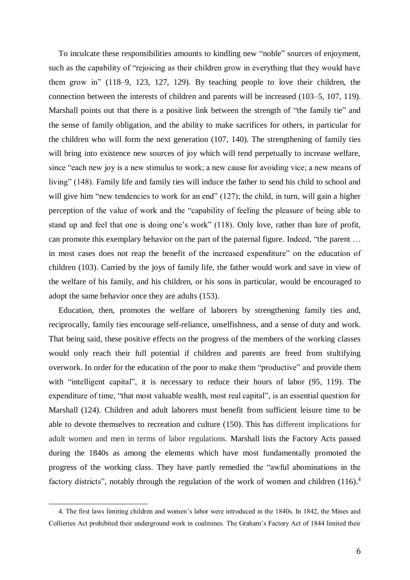To inculcate these responsibilities amounts to kindling new "noble" sources of enjoyment, such as the capability of "rejoicing as their children grow in everything that they would have them grow in" (118–9, 123, 127, 129). By teaching people to love their children, the connection between the interests of children and parents will be increased (103–5, 107, 119). Marshall points out that there is a positive link between the strength of "the family tie" and the sense of family obligation, and the ability to make sacrifices for others, in particular for the children who will form the next generation (107, 140). The strengthening of family ties will bring into existence new sources of joy which will tend perpetually to increase welfare, since "each new joy is a new stimulus to work; a new cause for avoiding vice; a new means of living" (148). Family life and family ties will induce the father to send his child to school and will give him "new tendencies to work for an end" (127); the child, in turn, will gain a higher perception of the value of work and the "capability of feeling the pleasure of being able to stand up and feel that one is doing one's work" (118). Only love, rather than lure of profit, can promote this exemplary behavior on the part of the paternal figure. Indeed, "the parent … in most cases does not reap the benefit of the increased expenditure" on the education of children (103). Carried by the joys of family life, the father would work and save in view of the welfare of his family, and his children, or his sons in particular, would be encouraged to adopt the same behavior once they are adults (153).

Education, then, promotes the welfare of laborers by strengthening family ties and, reciprocally, family ties encourage self-reliance, unselfishness, and a sense of duty and work. That being said, these positive effects on the progress of the members of the working classes would only reach their full potential if children and parents are freed from stultifying overwork. In order for the education of the poor to make them "productive" and provide them with "intelligent capital", it is necessary to reduce their hours of labor (95, 119). The expenditure of time, "that most valuable wealth, most real capital", is an essential question for Marshall (124). Children and adult laborers must benefit from sufficient leisure time to be able to devote themselves to recreation and culture (150). This has different implications for adult women and men in terms of labor regulations. Marshall lists the Factory Acts passed during the 1840s as among the elements which have most fundamentally promoted the progress of the working class. They have partly remedied the "awful abominations in the factory districts", notably through the regulation of the work of women and children (116).<sup>4</sup>

<sup>4.</sup> The first laws limiting children and women's labor were introduced in the 1840s. In 1842, the Mines and Collieries Act prohibited their underground work in coalmines. The Graham's Factory Act of 1844 limited their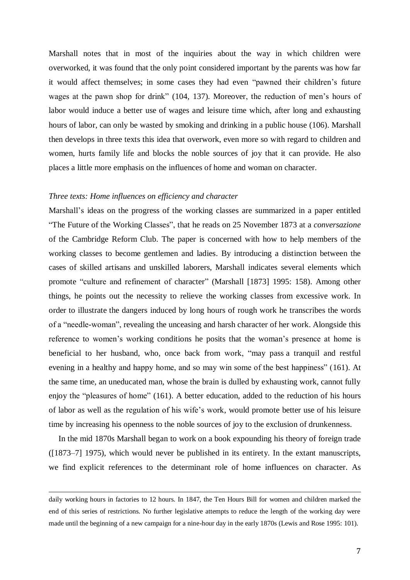Marshall notes that in most of the inquiries about the way in which children were overworked, it was found that the only point considered important by the parents was how far it would affect themselves; in some cases they had even "pawned their children's future wages at the pawn shop for drink" (104, 137). Moreover, the reduction of men's hours of labor would induce a better use of wages and leisure time which, after long and exhausting hours of labor, can only be wasted by smoking and drinking in a public house (106). Marshall then develops in three texts this idea that overwork, even more so with regard to children and women, hurts family life and blocks the noble sources of joy that it can provide. He also places a little more emphasis on the influences of home and woman on character.

#### *Three texts: Home influences on efficiency and character*

 $\overline{a}$ 

Marshall's ideas on the progress of the working classes are summarized in a paper entitled "The Future of the Working Classes", that he reads on 25 November 1873 at a *conversazione* of the Cambridge Reform Club. The paper is concerned with how to help members of the working classes to become gentlemen and ladies. By introducing a distinction between the cases of skilled artisans and unskilled laborers, Marshall indicates several elements which promote "culture and refinement of character" (Marshall [1873] 1995: 158). Among other things, he points out the necessity to relieve the working classes from excessive work. In order to illustrate the dangers induced by long hours of rough work he transcribes the words of a "needle-woman", revealing the unceasing and harsh character of her work. Alongside this reference to women's working conditions he posits that the woman's presence at home is beneficial to her husband, who, once back from work, "may pass a tranquil and restful evening in a healthy and happy home, and so may win some of the best happiness" (161). At the same time, an uneducated man, whose the brain is dulled by exhausting work, cannot fully enjoy the "pleasures of home" (161). A better education, added to the reduction of his hours of labor as well as the regulation of his wife's work, would promote better use of his leisure time by increasing his openness to the noble sources of joy to the exclusion of drunkenness.

In the mid 1870s Marshall began to work on a book expounding his theory of foreign trade ([1873–7] 1975), which would never be published in its entirety. In the extant manuscripts, we find explicit references to the determinant role of home influences on character. As

daily working hours in factories to 12 hours. In 1847, the Ten Hours Bill for women and children marked the end of this series of restrictions. No further legislative attempts to reduce the length of the working day were made until the beginning of a new campaign for a nine-hour day in the early 1870s (Lewis and Rose 1995: 101).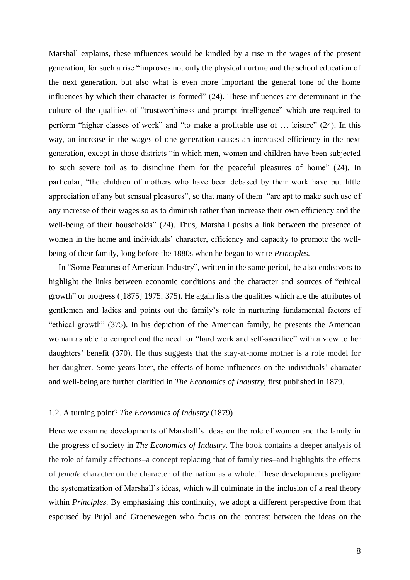Marshall explains, these influences would be kindled by a rise in the wages of the present generation, for such a rise "improves not only the physical nurture and the school education of the next generation, but also what is even more important the general tone of the home influences by which their character is formed" (24). These influences are determinant in the culture of the qualities of "trustworthiness and prompt intelligence" which are required to perform "higher classes of work" and "to make a profitable use of … leisure" (24). In this way, an increase in the wages of one generation causes an increased efficiency in the next generation, except in those districts "in which men, women and children have been subjected to such severe toil as to disincline them for the peaceful pleasures of home" (24). In particular, "the children of mothers who have been debased by their work have but little appreciation of any but sensual pleasures", so that many of them "are apt to make such use of any increase of their wages so as to diminish rather than increase their own efficiency and the well-being of their households" (24). Thus, Marshall posits a link between the presence of women in the home and individuals' character, efficiency and capacity to promote the wellbeing of their family, long before the 1880s when he began to write *Principles*.

In "Some Features of American Industry", written in the same period, he also endeavors to highlight the links between economic conditions and the character and sources of "ethical growth" or progress ([1875] 1975: 375). He again lists the qualities which are the attributes of gentlemen and ladies and points out the family's role in nurturing fundamental factors of "ethical growth" (375). In his depiction of the American family, he presents the American woman as able to comprehend the need for "hard work and self-sacrifice" with a view to her daughters' benefit (370). He thus suggests that the stay-at-home mother is a role model for her daughter. Some years later, the effects of home influences on the individuals' character and well-being are further clarified in *The Economics of Industry*, first published in 1879.

#### 1.2. A turning point? *The Economics of Industry* (1879)

Here we examine developments of Marshall's ideas on the role of women and the family in the progress of society in *The Economics of Industry*. The book contains a deeper analysis of the role of family affections–a concept replacing that of family ties–and highlights the effects of *female* character on the character of the nation as a whole. These developments prefigure the systematization of Marshall's ideas, which will culminate in the inclusion of a real theory within *Principles*. By emphasizing this continuity, we adopt a different perspective from that espoused by Pujol and Groenewegen who focus on the contrast between the ideas on the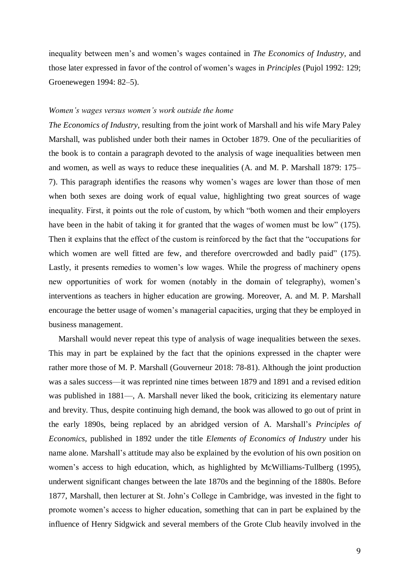inequality between men's and women's wages contained in *The Economics of Industry*, and those later expressed in favor of the control of women's wages in *Principles* (Pujol 1992: 129; Groenewegen 1994: 82–5).

#### *Women's wages versus women's work outside the home*

*The Economics of Industry*, resulting from the joint work of Marshall and his wife Mary Paley Marshall, was published under both their names in October 1879. One of the peculiarities of the book is to contain a paragraph devoted to the analysis of wage inequalities between men and women, as well as ways to reduce these inequalities (A. and M. P. Marshall 1879: 175– 7). This paragraph identifies the reasons why women's wages are lower than those of men when both sexes are doing work of equal value, highlighting two great sources of wage inequality. First, it points out the role of custom, by which "both women and their employers have been in the habit of taking it for granted that the wages of women must be low" (175). Then it explains that the effect of the custom is reinforced by the fact that the "occupations for which women are well fitted are few, and therefore overcrowded and badly paid" (175). Lastly, it presents remedies to women's low wages. While the progress of machinery opens new opportunities of work for women (notably in the domain of telegraphy), women's interventions as teachers in higher education are growing. Moreover, A. and M. P. Marshall encourage the better usage of women's managerial capacities, urging that they be employed in business management.

Marshall would never repeat this type of analysis of wage inequalities between the sexes. This may in part be explained by the fact that the opinions expressed in the chapter were rather more those of M. P. Marshall (Gouverneur 2018: 78-81). Although the joint production was a sales success––it was reprinted nine times between 1879 and 1891 and a revised edition was published in 1881—, A. Marshall never liked the book, criticizing its elementary nature and brevity. Thus, despite continuing high demand, the book was allowed to go out of print in the early 1890s, being replaced by an abridged version of A. Marshall's *Principles of Economics*, published in 1892 under the title *Elements of Economics of Industry* under his name alone. Marshall's attitude may also be explained by the evolution of his own position on women's access to high education, which, as highlighted by McWilliams-Tullberg (1995), underwent significant changes between the late 1870s and the beginning of the 1880s. Before 1877, Marshall, then lecturer at St. John's College in Cambridge, was invested in the fight to promote women's access to higher education, something that can in part be explained by the influence of Henry Sidgwick and several members of the Grote Club heavily involved in the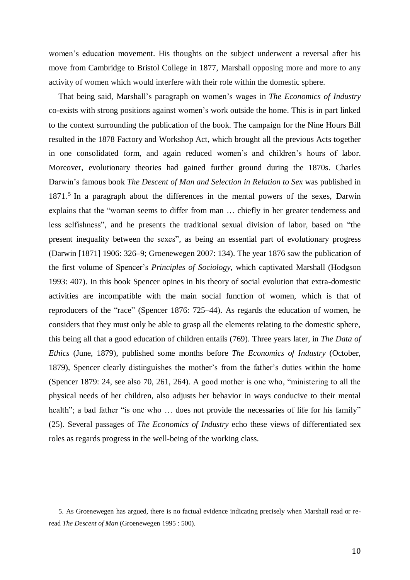women's education movement. His thoughts on the subject underwent a reversal after his move from Cambridge to Bristol College in 1877, Marshall opposing more and more to any activity of women which would interfere with their role within the domestic sphere.

That being said, Marshall's paragraph on women's wages in *The Economics of Industry* co-exists with strong positions against women's work outside the home. This is in part linked to the context surrounding the publication of the book. The campaign for the Nine Hours Bill resulted in the 1878 Factory and Workshop Act, which brought all the previous Acts together in one consolidated form, and again reduced women's and children's hours of labor. Moreover, evolutionary theories had gained further ground during the 1870s. Charles Darwin's famous book *The Descent of Man and Selection in Relation to Sex* was published in 1871.<sup>5</sup> In a paragraph about the differences in the mental powers of the sexes, Darwin explains that the "woman seems to differ from man … chiefly in her greater tenderness and less selfishness", and he presents the traditional sexual division of labor, based on "the present inequality between the sexes", as being an essential part of evolutionary progress (Darwin [1871] 1906: 326–9; Groenewegen 2007: 134). The year 1876 saw the publication of the first volume of Spencer's *Principles of Sociology*, which captivated Marshall (Hodgson 1993: 407). In this book Spencer opines in his theory of social evolution that extra-domestic activities are incompatible with the main social function of women, which is that of reproducers of the "race" (Spencer 1876: 725–44). As regards the education of women, he considers that they must only be able to grasp all the elements relating to the domestic sphere, this being all that a good education of children entails (769). Three years later, in *The Data of Ethics* (June, 1879), published some months before *The Economics of Industry* (October, 1879), Spencer clearly distinguishes the mother's from the father's duties within the home (Spencer 1879: 24, see also 70, 261, 264). A good mother is one who, "ministering to all the physical needs of her children, also adjusts her behavior in ways conducive to their mental health"; a bad father "is one who ... does not provide the necessaries of life for his family" (25). Several passages of *The Economics of Industry* echo these views of differentiated sex roles as regards progress in the well-being of the working class.

<sup>5.</sup> As Groenewegen has argued, there is no factual evidence indicating precisely when Marshall read or reread *The Descent of Man* (Groenewegen 1995 : 500).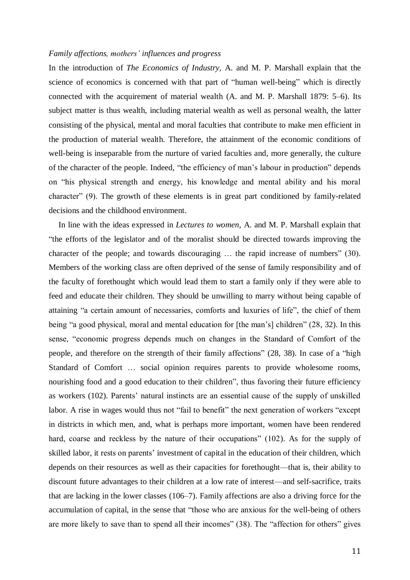#### *Family affections, mothers' influences and progress*

In the introduction of *The Economics of Industry*, A. and M. P. Marshall explain that the science of economics is concerned with that part of "human well-being" which is directly connected with the acquirement of material wealth (A. and M. P. Marshall 1879: 5–6). Its subject matter is thus wealth, including material wealth as well as personal wealth, the latter consisting of the physical, mental and moral faculties that contribute to make men efficient in the production of material wealth. Therefore, the attainment of the economic conditions of well-being is inseparable from the nurture of varied faculties and, more generally, the culture of the character of the people. Indeed, "the efficiency of man's labour in production" depends on "his physical strength and energy, his knowledge and mental ability and his moral character" (9). The growth of these elements is in great part conditioned by family-related decisions and the childhood environment.

In line with the ideas expressed in *Lectures to women*, A. and M. P. Marshall explain that "the efforts of the legislator and of the moralist should be directed towards improving the character of the people; and towards discouraging … the rapid increase of numbers" (30). Members of the working class are often deprived of the sense of family responsibility and of the faculty of forethought which would lead them to start a family only if they were able to feed and educate their children. They should be unwilling to marry without being capable of attaining "a certain amount of necessaries, comforts and luxuries of life", the chief of them being "a good physical, moral and mental education for [the man's] children" (28, 32). In this sense, "economic progress depends much on changes in the Standard of Comfort of the people, and therefore on the strength of their family affections" (28, 38). In case of a "high Standard of Comfort … social opinion requires parents to provide wholesome rooms, nourishing food and a good education to their children", thus favoring their future efficiency as workers (102). Parents' natural instincts are an essential cause of the supply of unskilled labor. A rise in wages would thus not "fail to benefit" the next generation of workers "except in districts in which men, and, what is perhaps more important, women have been rendered hard, coarse and reckless by the nature of their occupations" (102). As for the supply of skilled labor, it rests on parents' investment of capital in the education of their children, which depends on their resources as well as their capacities for forethought––that is, their ability to discount future advantages to their children at a low rate of interest––and self-sacrifice, traits that are lacking in the lower classes (106–7). Family affections are also a driving force for the accumulation of capital, in the sense that "those who are anxious for the well-being of others are more likely to save than to spend all their incomes" (38). The "affection for others" gives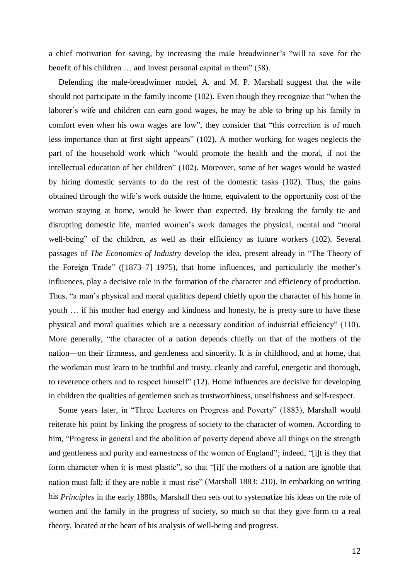a chief motivation for saving, by increasing the male breadwinner's "will to save for the benefit of his children … and invest personal capital in them" (38).

Defending the male-breadwinner model, A. and M. P. Marshall suggest that the wife should not participate in the family income (102). Even though they recognize that "when the laborer's wife and children can earn good wages, he may be able to bring up his family in comfort even when his own wages are low", they consider that "this correction is of much less importance than at first sight appears" (102). A mother working for wages neglects the part of the household work which "would promote the health and the moral, if not the intellectual education of her children" (102). Moreover, some of her wages would be wasted by hiring domestic servants to do the rest of the domestic tasks (102). Thus, the gains obtained through the wife's work outside the home, equivalent to the opportunity cost of the woman staying at home, would be lower than expected. By breaking the family tie and disrupting domestic life, married women's work damages the physical, mental and "moral well-being" of the children, as well as their efficiency as future workers (102). Several passages of *The Economics of Industry* develop the idea, present already in "The Theory of the Foreign Trade" ([1873–7] 1975), that home influences, and particularly the mother's influences, play a decisive role in the formation of the character and efficiency of production. Thus, "a man's physical and moral qualities depend chiefly upon the character of his home in youth … if his mother had energy and kindness and honesty, he is pretty sure to have these physical and moral qualities which are a necessary condition of industrial efficiency" (110). More generally, "the character of a nation depends chiefly on that of the mothers of the nation––on their firmness, and gentleness and sincerity. It is in childhood, and at home, that the workman must learn to be truthful and trusty, cleanly and careful, energetic and thorough, to reverence others and to respect himself" (12). Home influences are decisive for developing in children the qualities of gentlemen such as trustworthiness, unselfishness and self-respect.

Some years later, in "Three Lectures on Progress and Poverty" (1883), Marshall would reiterate his point by linking the progress of society to the character of women. According to him, "Progress in general and the abolition of poverty depend above all things on the strength and gentleness and purity and earnestness of the women of England"; indeed, "[i]t is they that form character when it is most plastic", so that "[i]f the mothers of a nation are ignoble that nation must fall; if they are noble it must rise" (Marshall 1883: 210). In embarking on writing his *Principles* in the early 1880s, Marshall then sets out to systematize his ideas on the role of women and the family in the progress of society, so much so that they give form to a real theory, located at the heart of his analysis of well-being and progress.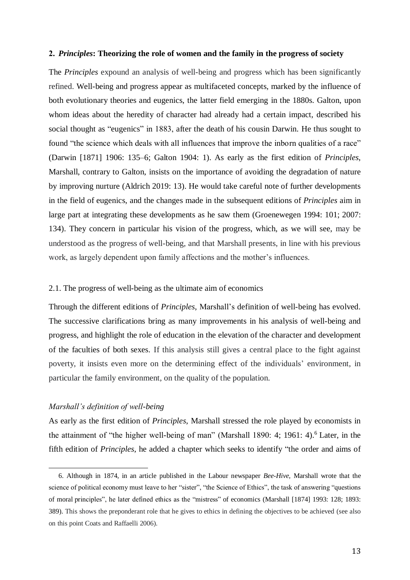#### **2.** *Principles***: Theorizing the role of women and the family in the progress of society**

The *Principles* expound an analysis of well-being and progress which has been significantly refined. Well-being and progress appear as multifaceted concepts, marked by the influence of both evolutionary theories and eugenics, the latter field emerging in the 1880s. Galton, upon whom ideas about the heredity of character had already had a certain impact, described his social thought as "eugenics" in 1883, after the death of his cousin Darwin. He thus sought to found "the science which deals with all influences that improve the inborn qualities of a race" (Darwin [1871] 1906: 135–6; Galton 1904: 1). As early as the first edition of *Principles*, Marshall, contrary to Galton, insists on the importance of avoiding the degradation of nature by improving nurture (Aldrich 2019: 13). He would take careful note of further developments in the field of eugenics, and the changes made in the subsequent editions of *Principles* aim in large part at integrating these developments as he saw them (Groenewegen 1994: 101; 2007: 134). They concern in particular his vision of the progress, which, as we will see, may be understood as the progress of well-being, and that Marshall presents, in line with his previous work, as largely dependent upon family affections and the mother's influences.

#### 2.1. The progress of well-being as the ultimate aim of economics

Through the different editions of *Principles*, Marshall's definition of well-being has evolved. The successive clarifications bring as many improvements in his analysis of well-being and progress, and highlight the role of education in the elevation of the character and development of the faculties of both sexes. If this analysis still gives a central place to the fight against poverty, it insists even more on the determining effect of the individuals' environment, in particular the family environment, on the quality of the population.

#### *Marshall's definition of well-being*

<u>.</u>

As early as the first edition of *Principles*, Marshall stressed the role played by economists in the attainment of "the higher well-being of man" (Marshall 1890: 4; 1961: 4).<sup>6</sup> Later, in the fifth edition of *Principles*, he added a chapter which seeks to identify "the order and aims of

<sup>6.</sup> Although in 1874, in an article published in the Labour newspaper *Bee-Hive*, Marshall wrote that the science of political economy must leave to her "sister", "the Science of Ethics", the task of answering "questions of moral principles", he later defined ethics as the "mistress" of economics (Marshall [1874] 1993: 128; 1893: 389). This shows the preponderant role that he gives to ethics in defining the objectives to be achieved (see also on this point Coats and Raffaelli 2006).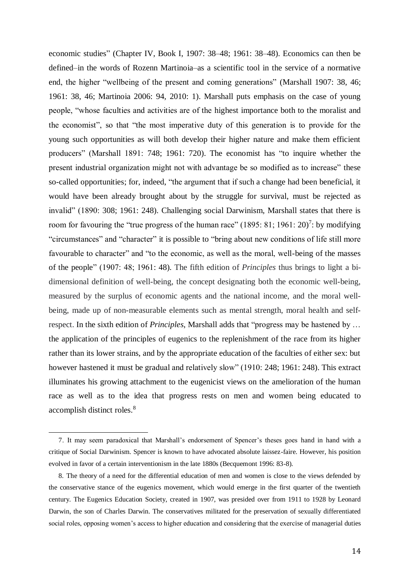economic studies" (Chapter IV, Book I, 1907: 38–48; 1961: 38–48). Economics can then be defined–in the words of Rozenn Martinoia–as a scientific tool in the service of a normative end, the higher "wellbeing of the present and coming generations" (Marshall 1907: 38, 46; 1961: 38, 46; Martinoia 2006: 94, 2010: 1). Marshall puts emphasis on the case of young people, "whose faculties and activities are of the highest importance both to the moralist and the economist", so that "the most imperative duty of this generation is to provide for the young such opportunities as will both develop their higher nature and make them efficient producers" (Marshall 1891: 748; 1961: 720). The economist has "to inquire whether the present industrial organization might not with advantage be so modified as to increase" these so-called opportunities; for, indeed, "the argument that if such a change had been beneficial, it would have been already brought about by the struggle for survival, must be rejected as invalid" (1890: 308; 1961: 248). Challenging social Darwinism, Marshall states that there is room for favouring the "true progress of the human race" (1895: 81; 1961: 20)<sup>7</sup>: by modifying "circumstances" and "character" it is possible to "bring about new conditions of life still more favourable to character" and "to the economic, as well as the moral, well-being of the masses of the people" (1907: 48; 1961: 48). The fifth edition of *Principles* thus brings to light a bidimensional definition of well-being, the concept designating both the economic well-being, measured by the surplus of economic agents and the national income, and the moral wellbeing, made up of non-measurable elements such as mental strength, moral health and selfrespect. In the sixth edition of *Principles*, Marshall adds that "progress may be hastened by … the application of the principles of eugenics to the replenishment of the race from its higher rather than its lower strains, and by the appropriate education of the faculties of either sex: but however hastened it must be gradual and relatively slow" (1910: 248; 1961: 248). This extract illuminates his growing attachment to the eugenicist views on the amelioration of the human race as well as to the idea that progress rests on men and women being educated to accomplish distinct roles. 8

<sup>7.</sup> It may seem paradoxical that Marshall's endorsement of Spencer's theses goes hand in hand with a critique of Social Darwinism. Spencer is known to have advocated absolute laissez-faire. However, his position evolved in favor of a certain interventionism in the late 1880s (Becquemont 1996: 83-8).

<sup>8.</sup> The theory of a need for the differential education of men and women is close to the views defended by the conservative stance of the eugenics movement, which would emerge in the first quarter of the twentieth century. The Eugenics Education Society, created in 1907, was presided over from 1911 to 1928 by Leonard Darwin, the son of Charles Darwin. The conservatives militated for the preservation of sexually differentiated social roles, opposing women's access to higher education and considering that the exercise of managerial duties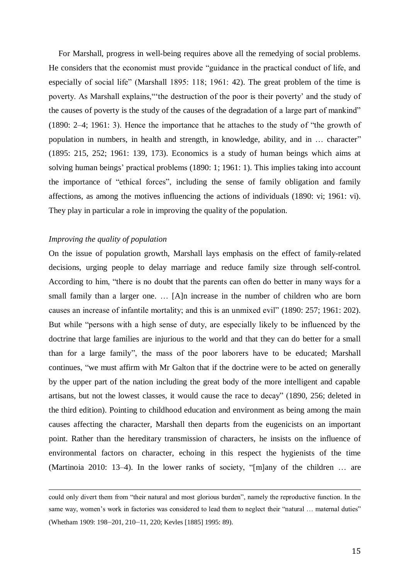For Marshall, progress in well-being requires above all the remedying of social problems. He considers that the economist must provide "guidance in the practical conduct of life, and especially of social life" (Marshall 1895: 118; 1961: 42). The great problem of the time is poverty. As Marshall explains,"'the destruction of the poor is their poverty' and the study of the causes of poverty is the study of the causes of the degradation of a large part of mankind" (1890: 2–4; 1961: 3). Hence the importance that he attaches to the study of "the growth of population in numbers, in health and strength, in knowledge, ability, and in … character" (1895: 215, 252; 1961: 139, 173). Economics is a study of human beings which aims at solving human beings' practical problems (1890: 1; 1961: 1). This implies taking into account the importance of "ethical forces", including the sense of family obligation and family affections, as among the motives influencing the actions of individuals (1890: vi; 1961: vi). They play in particular a role in improving the quality of the population.

#### *Improving the quality of population*

l

On the issue of population growth, Marshall lays emphasis on the effect of family-related decisions, urging people to delay marriage and reduce family size through self-control. According to him, "there is no doubt that the parents can often do better in many ways for a small family than a larger one. … [A]n increase in the number of children who are born causes an increase of infantile mortality; and this is an unmixed evil" (1890: 257; 1961: 202). But while "persons with a high sense of duty, are especially likely to be influenced by the doctrine that large families are injurious to the world and that they can do better for a small than for a large family", the mass of the poor laborers have to be educated; Marshall continues, "we must affirm with Mr Galton that if the doctrine were to be acted on generally by the upper part of the nation including the great body of the more intelligent and capable artisans, but not the lowest classes, it would cause the race to decay" (1890, 256; deleted in the third edition). Pointing to childhood education and environment as being among the main causes affecting the character, Marshall then departs from the eugenicists on an important point. Rather than the hereditary transmission of characters, he insists on the influence of environmental factors on character, echoing in this respect the hygienists of the time (Martinoia 2010: 13–4). In the lower ranks of society, "[m]any of the children … are

could only divert them from "their natural and most glorious burden", namely the reproductive function. In the same way, women's work in factories was considered to lead them to neglect their "natural … maternal duties" (Whetham 1909: 198–201, 210–11, 220; Kevles [1885] 1995: 89).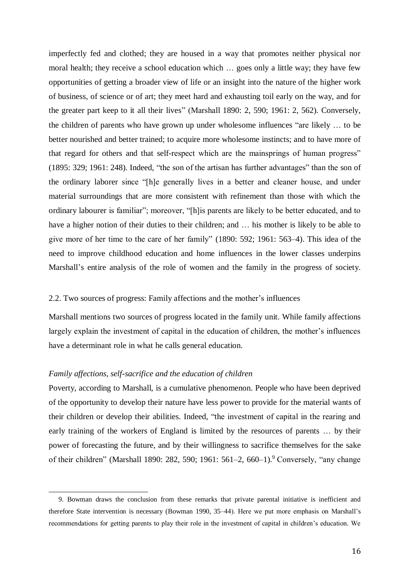imperfectly fed and clothed; they are housed in a way that promotes neither physical nor moral health; they receive a school education which … goes only a little way; they have few opportunities of getting a broader view of life or an insight into the nature of the higher work of business, of science or of art; they meet hard and exhausting toil early on the way, and for the greater part keep to it all their lives" (Marshall 1890: 2, 590; 1961: 2, 562). Conversely, the children of parents who have grown up under wholesome influences "are likely … to be better nourished and better trained; to acquire more wholesome instincts; and to have more of that regard for others and that self-respect which are the mainsprings of human progress" (1895: 329; 1961: 248). Indeed, "the son of the artisan has further advantages" than the son of the ordinary laborer since "[h]e generally lives in a better and cleaner house, and under material surroundings that are more consistent with refinement than those with which the ordinary labourer is familiar"; moreover, "[h]is parents are likely to be better educated, and to have a higher notion of their duties to their children; and ... his mother is likely to be able to give more of her time to the care of her family" (1890: 592; 1961: 563–4). This idea of the need to improve childhood education and home influences in the lower classes underpins Marshall's entire analysis of the role of women and the family in the progress of society.

#### 2.2. Two sources of progress: Family affections and the mother's influences

Marshall mentions two sources of progress located in the family unit. While family affections largely explain the investment of capital in the education of children, the mother's influences have a determinant role in what he calls general education.

#### *Family affections, self-sacrifice and the education of children*

<u>.</u>

Poverty, according to Marshall, is a cumulative phenomenon. People who have been deprived of the opportunity to develop their nature have less power to provide for the material wants of their children or develop their abilities. Indeed, "the investment of capital in the rearing and early training of the workers of England is limited by the resources of parents … by their power of forecasting the future, and by their willingness to sacrifice themselves for the sake of their children" (Marshall 1890: 282, 590; 1961: 561–2, 660–1).<sup>9</sup> Conversely, "any change

<sup>9.</sup> Bowman draws the conclusion from these remarks that private parental initiative is inefficient and therefore State intervention is necessary (Bowman 1990, 35–44). Here we put more emphasis on Marshall's recommendations for getting parents to play their role in the investment of capital in children's education. We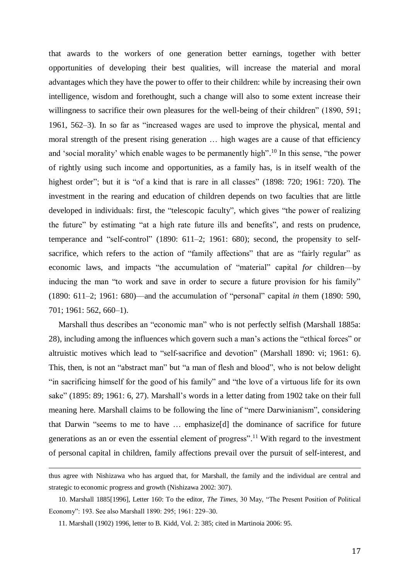that awards to the workers of one generation better earnings, together with better opportunities of developing their best qualities, will increase the material and moral advantages which they have the power to offer to their children: while by increasing their own intelligence, wisdom and forethought, such a change will also to some extent increase their willingness to sacrifice their own pleasures for the well-being of their children" (1890, 591; 1961, 562–3). In so far as "increased wages are used to improve the physical, mental and moral strength of the present rising generation … high wages are a cause of that efficiency and 'social morality' which enable wages to be permanently high".<sup>10</sup> In this sense, "the power of rightly using such income and opportunities, as a family has, is in itself wealth of the highest order"; but it is "of a kind that is rare in all classes" (1898: 720; 1961: 720). The investment in the rearing and education of children depends on two faculties that are little developed in individuals: first, the "telescopic faculty", which gives "the power of realizing the future" by estimating "at a high rate future ills and benefits", and rests on prudence, temperance and "self-control" (1890: 611–2; 1961: 680); second, the propensity to selfsacrifice, which refers to the action of "family affections" that are as "fairly regular" as economic laws, and impacts "the accumulation of "material" capital *for* children––by inducing the man "to work and save in order to secure a future provision for his family" (1890: 611–2; 1961: 680)––and the accumulation of "personal" capital *in* them (1890: 590, 701; 1961: 562, 660–1).

Marshall thus describes an "economic man" who is not perfectly selfish (Marshall 1885a: 28), including among the influences which govern such a man's actions the "ethical forces" or altruistic motives which lead to "self-sacrifice and devotion" (Marshall 1890: vi; 1961: 6). This, then, is not an "abstract man" but "a man of flesh and blood", who is not below delight "in sacrificing himself for the good of his family" and "the love of a virtuous life for its own sake" (1895: 89; 1961: 6, 27). Marshall's words in a letter dating from 1902 take on their full meaning here. Marshall claims to be following the line of "mere Darwinianism", considering that Darwin "seems to me to have … emphasize[d] the dominance of sacrifice for future generations as an or even the essential element of progress".<sup>11</sup> With regard to the investment of personal capital in children, family affections prevail over the pursuit of self-interest, and

 $\overline{a}$ 

thus agree with Nishizawa who has argued that, for Marshall, the family and the individual are central and strategic to economic progress and growth (Nishizawa 2002: 307).

<sup>10.</sup> Marshall 1885[1996], Letter 160: To the editor, *The Times*, 30 May, "The Present Position of Political Economy": 193. See also Marshall 1890: 295; 1961: 229–30.

<sup>11.</sup> Marshall (1902) 1996, letter to B. Kidd, Vol. 2: 385; cited in Martinoia 2006: 95.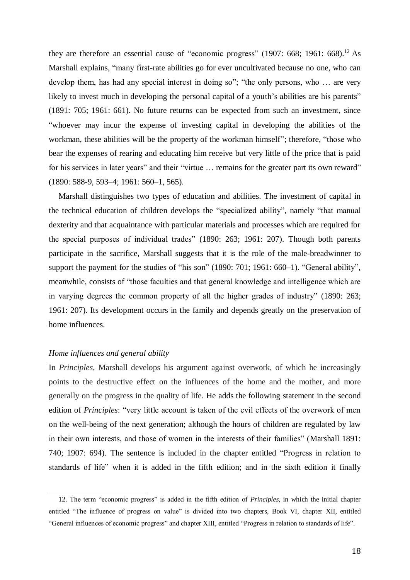they are therefore an essential cause of "economic progress" (1907: 668; 1961: 668).<sup>12</sup> As Marshall explains, "many first-rate abilities go for ever uncultivated because no one, who can develop them, has had any special interest in doing so"; "the only persons, who … are very likely to invest much in developing the personal capital of a youth's abilities are his parents" (1891: 705; 1961: 661). No future returns can be expected from such an investment, since "whoever may incur the expense of investing capital in developing the abilities of the workman, these abilities will be the property of the workman himself"; therefore, "those who bear the expenses of rearing and educating him receive but very little of the price that is paid for his services in later years" and their "virtue ... remains for the greater part its own reward" (1890: 588-9, 593–4; 1961: 560–1, 565).

Marshall distinguishes two types of education and abilities. The investment of capital in the technical education of children develops the "specialized ability", namely "that manual dexterity and that acquaintance with particular materials and processes which are required for the special purposes of individual trades" (1890: 263; 1961: 207). Though both parents participate in the sacrifice, Marshall suggests that it is the role of the male-breadwinner to support the payment for the studies of "his son" (1890: 701; 1961: 660–1). "General ability", meanwhile, consists of "those faculties and that general knowledge and intelligence which are in varying degrees the common property of all the higher grades of industry" (1890: 263; 1961: 207). Its development occurs in the family and depends greatly on the preservation of home influences.

#### *Home influences and general ability*

<u>.</u>

In *Principles*, Marshall develops his argument against overwork, of which he increasingly points to the destructive effect on the influences of the home and the mother, and more generally on the progress in the quality of life. He adds the following statement in the second edition of *Principles*: "very little account is taken of the evil effects of the overwork of men on the well-being of the next generation; although the hours of children are regulated by law in their own interests, and those of women in the interests of their families" (Marshall 1891: 740; 1907: 694). The sentence is included in the chapter entitled "Progress in relation to standards of life" when it is added in the fifth edition; and in the sixth edition it finally

<sup>12.</sup> The term "economic progress" is added in the fifth edition of *Principles*, in which the initial chapter entitled "The influence of progress on value" is divided into two chapters, Book VI, chapter XII, entitled "General influences of economic progress" and chapter XIII, entitled "Progress in relation to standards of life".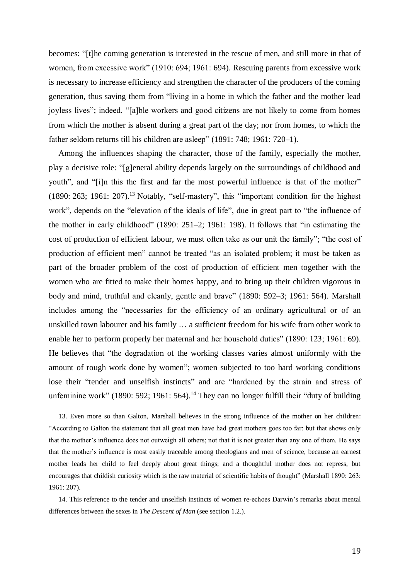becomes: "[t]he coming generation is interested in the rescue of men, and still more in that of women, from excessive work" (1910: 694; 1961: 694). Rescuing parents from excessive work is necessary to increase efficiency and strengthen the character of the producers of the coming generation, thus saving them from "living in a home in which the father and the mother lead joyless lives"; indeed, "[a]ble workers and good citizens are not likely to come from homes from which the mother is absent during a great part of the day; nor from homes, to which the father seldom returns till his children are asleep" (1891: 748; 1961: 720–1).

Among the influences shaping the character, those of the family, especially the mother, play a decisive role: "[g]eneral ability depends largely on the surroundings of childhood and youth", and "[i]n this the first and far the most powerful influence is that of the mother"  $(1890: 263; 1961: 207).$ <sup>13</sup> Notably, "self-mastery", this "important condition for the highest work", depends on the "elevation of the ideals of life", due in great part to "the influence of the mother in early childhood" (1890: 251–2; 1961: 198). It follows that "in estimating the cost of production of efficient labour, we must often take as our unit the family"; "the cost of production of efficient men" cannot be treated "as an isolated problem; it must be taken as part of the broader problem of the cost of production of efficient men together with the women who are fitted to make their homes happy, and to bring up their children vigorous in body and mind, truthful and cleanly, gentle and brave" (1890: 592–3; 1961: 564). Marshall includes among the "necessaries for the efficiency of an ordinary agricultural or of an unskilled town labourer and his family … a sufficient freedom for his wife from other work to enable her to perform properly her maternal and her household duties" (1890: 123; 1961: 69). He believes that "the degradation of the working classes varies almost uniformly with the amount of rough work done by women"; women subjected to too hard working conditions lose their "tender and unselfish instincts" and are "hardened by the strain and stress of unfeminine work" (1890: 592; 1961: 564).<sup>14</sup> They can no longer fulfill their "duty of building

<sup>13.</sup> Even more so than Galton, Marshall believes in the strong influence of the mother on her children: "According to Galton the statement that all great men have had great mothers goes too far: but that shows only that the mother's influence does not outweigh all others; not that it is not greater than any one of them. He says that the mother's influence is most easily traceable among theologians and men of science, because an earnest mother leads her child to feel deeply about great things; and a thoughtful mother does not repress, but encourages that childish curiosity which is the raw material of scientific habits of thought" (Marshall 1890: 263; 1961: 207).

<sup>14.</sup> This reference to the tender and unselfish instincts of women re-echoes Darwin's remarks about mental differences between the sexes in *The Descent of Man* (see section 1.2.).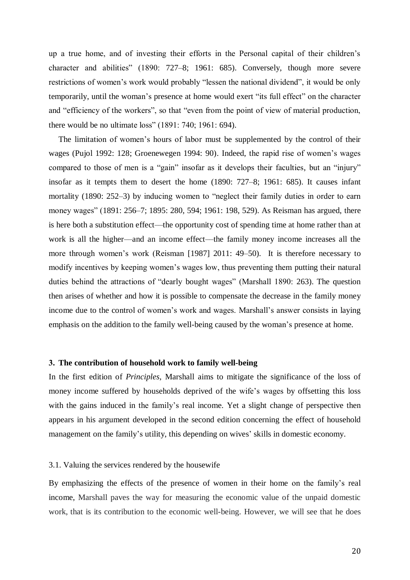up a true home, and of investing their efforts in the Personal capital of their children's character and abilities" (1890: 727–8; 1961: 685). Conversely, though more severe restrictions of women's work would probably "lessen the national dividend", it would be only temporarily, until the woman's presence at home would exert "its full effect" on the character and "efficiency of the workers", so that "even from the point of view of material production, there would be no ultimate loss" (1891: 740; 1961: 694).

The limitation of women's hours of labor must be supplemented by the control of their wages (Pujol 1992: 128; Groenewegen 1994: 90). Indeed, the rapid rise of women's wages compared to those of men is a "gain" insofar as it develops their faculties, but an "injury" insofar as it tempts them to desert the home (1890: 727–8; 1961: 685). It causes infant mortality (1890: 252–3) by inducing women to "neglect their family duties in order to earn money wages" (1891: 256–7; 1895: 280, 594; 1961: 198, 529). As Reisman has argued, there is here both a substitution effect––the opportunity cost of spending time at home rather than at work is all the higher—and an income effect—the family money income increases all the more through women's work (Reisman [1987] 2011: 49–50). It is therefore necessary to modify incentives by keeping women's wages low, thus preventing them putting their natural duties behind the attractions of "dearly bought wages" (Marshall 1890: 263). The question then arises of whether and how it is possible to compensate the decrease in the family money income due to the control of women's work and wages. Marshall's answer consists in laying emphasis on the addition to the family well-being caused by the woman's presence at home.

#### **3. The contribution of household work to family well-being**

In the first edition of *Principles*, Marshall aims to mitigate the significance of the loss of money income suffered by households deprived of the wife's wages by offsetting this loss with the gains induced in the family's real income. Yet a slight change of perspective then appears in his argument developed in the second edition concerning the effect of household management on the family's utility, this depending on wives' skills in domestic economy.

#### 3.1. Valuing the services rendered by the housewife

By emphasizing the effects of the presence of women in their home on the family's real income, Marshall paves the way for measuring the economic value of the unpaid domestic work, that is its contribution to the economic well-being. However, we will see that he does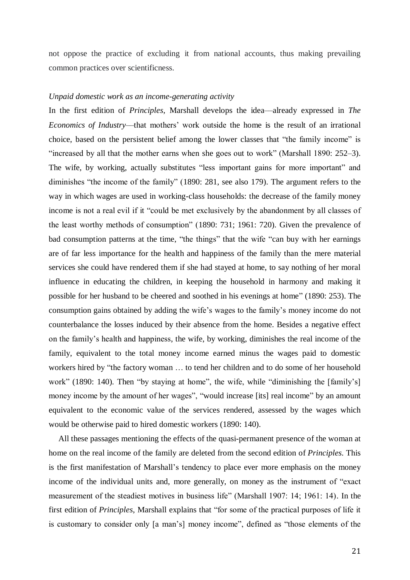not oppose the practice of excluding it from national accounts, thus making prevailing common practices over scientificness.

#### *Unpaid domestic work as an income-generating activity*

In the first edition of *Principles*, Marshall develops the idea––already expressed in *The Economics of Industry*––that mothers' work outside the home is the result of an irrational choice, based on the persistent belief among the lower classes that "the family income" is "increased by all that the mother earns when she goes out to work" (Marshall 1890: 252–3). The wife, by working, actually substitutes "less important gains for more important" and diminishes "the income of the family" (1890: 281, see also 179). The argument refers to the way in which wages are used in working-class households: the decrease of the family money income is not a real evil if it "could be met exclusively by the abandonment by all classes of the least worthy methods of consumption" (1890: 731; 1961: 720). Given the prevalence of bad consumption patterns at the time, "the things" that the wife "can buy with her earnings are of far less importance for the health and happiness of the family than the mere material services she could have rendered them if she had stayed at home, to say nothing of her moral influence in educating the children, in keeping the household in harmony and making it possible for her husband to be cheered and soothed in his evenings at home" (1890: 253). The consumption gains obtained by adding the wife's wages to the family's money income do not counterbalance the losses induced by their absence from the home. Besides a negative effect on the family's health and happiness, the wife, by working, diminishes the real income of the family, equivalent to the total money income earned minus the wages paid to domestic workers hired by "the factory woman … to tend her children and to do some of her household work" (1890: 140). Then "by staying at home", the wife, while "diminishing the [family's] money income by the amount of her wages", "would increase [its] real income" by an amount equivalent to the economic value of the services rendered, assessed by the wages which would be otherwise paid to hired domestic workers (1890: 140).

All these passages mentioning the effects of the quasi-permanent presence of the woman at home on the real income of the family are deleted from the second edition of *Principles*. This is the first manifestation of Marshall's tendency to place ever more emphasis on the money income of the individual units and, more generally, on money as the instrument of "exact measurement of the steadiest motives in business life" (Marshall 1907: 14; 1961: 14). In the first edition of *Principles*, Marshall explains that "for some of the practical purposes of life it is customary to consider only [a man's] money income", defined as "those elements of the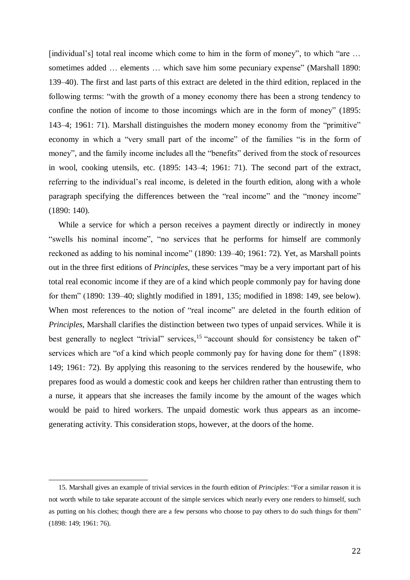[individual's] total real income which come to him in the form of money", to which "are ... sometimes added ... elements ... which save him some pecuniary expense" (Marshall 1890: 139–40). The first and last parts of this extract are deleted in the third edition, replaced in the following terms: "with the growth of a money economy there has been a strong tendency to confine the notion of income to those incomings which are in the form of money" (1895: 143–4; 1961: 71). Marshall distinguishes the modern money economy from the "primitive" economy in which a "very small part of the income" of the families "is in the form of money", and the family income includes all the "benefits" derived from the stock of resources in wool, cooking utensils, etc. (1895: 143–4; 1961: 71). The second part of the extract, referring to the individual's real income, is deleted in the fourth edition, along with a whole paragraph specifying the differences between the "real income" and the "money income" (1890: 140).

While a service for which a person receives a payment directly or indirectly in money "swells his nominal income", "no services that he performs for himself are commonly reckoned as adding to his nominal income" (1890: 139–40; 1961: 72). Yet, as Marshall points out in the three first editions of *Principles*, these services "may be a very important part of his total real economic income if they are of a kind which people commonly pay for having done for them" (1890: 139–40; slightly modified in 1891, 135; modified in 1898: 149, see below). When most references to the notion of "real income" are deleted in the fourth edition of *Principles*, Marshall clarifies the distinction between two types of unpaid services. While it is best generally to neglect "trivial" services,<sup>15</sup> "account should for consistency be taken of" services which are "of a kind which people commonly pay for having done for them" (1898: 149; 1961: 72). By applying this reasoning to the services rendered by the housewife, who prepares food as would a domestic cook and keeps her children rather than entrusting them to a nurse, it appears that she increases the family income by the amount of the wages which would be paid to hired workers. The unpaid domestic work thus appears as an incomegenerating activity. This consideration stops, however, at the doors of the home.

<sup>15.</sup> Marshall gives an example of trivial services in the fourth edition of *Principles*: "For a similar reason it is not worth while to take separate account of the simple services which nearly every one renders to himself, such as putting on his clothes; though there are a few persons who choose to pay others to do such things for them" (1898: 149; 1961: 76).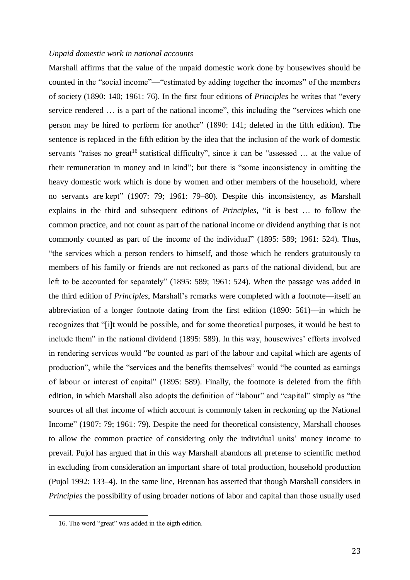#### *Unpaid domestic work in national accounts*

Marshall affirms that the value of the unpaid domestic work done by housewives should be counted in the "social income"––"estimated by adding together the incomes" of the members of society (1890: 140; 1961: 76). In the first four editions of *Principles* he writes that "every service rendered … is a part of the national income", this including the "services which one person may be hired to perform for another" (1890: 141; deleted in the fifth edition). The sentence is replaced in the fifth edition by the idea that the inclusion of the work of domestic servants "raises no great<sup>16</sup> statistical difficulty", since it can be "assessed ... at the value of their remuneration in money and in kind"; but there is "some inconsistency in omitting the heavy domestic work which is done by women and other members of the household, where no servants are kept" (1907: 79; 1961: 79–80). Despite this inconsistency, as Marshall explains in the third and subsequent editions of *Principles*, "it is best … to follow the common practice, and not count as part of the national income or dividend anything that is not commonly counted as part of the income of the individual" (1895: 589; 1961: 524). Thus, "the services which a person renders to himself, and those which he renders gratuitously to members of his family or friends are not reckoned as parts of the national dividend, but are left to be accounted for separately" (1895: 589; 1961: 524). When the passage was added in the third edition of *Principles*, Marshall's remarks were completed with a footnote––itself an abbreviation of a longer footnote dating from the first edition (1890: 561)––in which he recognizes that "[i]t would be possible, and for some theoretical purposes, it would be best to include them" in the national dividend (1895: 589). In this way, housewives' efforts involved in rendering services would "be counted as part of the labour and capital which are agents of production", while the "services and the benefits themselves" would "be counted as earnings of labour or interest of capital" (1895: 589). Finally, the footnote is deleted from the fifth edition, in which Marshall also adopts the definition of "labour" and "capital" simply as "the sources of all that income of which account is commonly taken in reckoning up the National Income" (1907: 79; 1961: 79). Despite the need for theoretical consistency, Marshall chooses to allow the common practice of considering only the individual units' money income to prevail. Pujol has argued that in this way Marshall abandons all pretense to scientific method in excluding from consideration an important share of total production, household production (Pujol 1992: 133–4). In the same line, Brennan has asserted that though Marshall considers in *Principles* the possibility of using broader notions of labor and capital than those usually used

1

<sup>16.</sup> The word "great" was added in the eigth edition.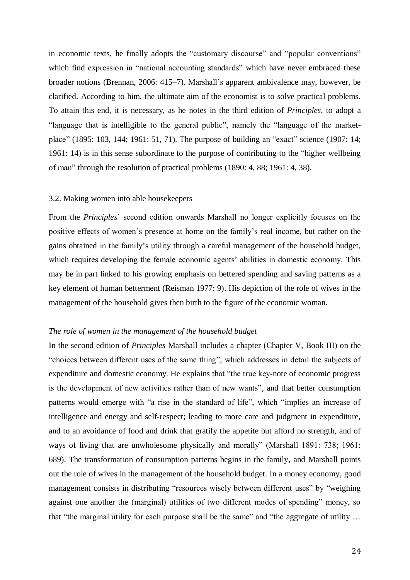in economic texts, he finally adopts the "customary discourse" and "popular conventions" which find expression in "national accounting standards" which have never embraced these broader notions (Brennan, 2006: 415–7). Marshall's apparent ambivalence may, however, be clarified. According to him, the ultimate aim of the economist is to solve practical problems. To attain this end, it is necessary, as he notes in the third edition of *Principles*, to adopt a "language that is intelligible to the general public", namely the "language of the marketplace" (1895: 103, 144; 1961: 51, 71). The purpose of building an "exact" science (1907: 14; 1961: 14) is in this sense subordinate to the purpose of contributing to the "higher wellbeing of man" through the resolution of practical problems (1890: 4, 88; 1961: 4, 38).

#### 3.2. Making women into able housekeepers

From the *Principles*' second edition onwards Marshall no longer explicitly focuses on the positive effects of women's presence at home on the family's real income, but rather on the gains obtained in the family's utility through a careful management of the household budget, which requires developing the female economic agents' abilities in domestic economy. This may be in part linked to his growing emphasis on bettered spending and saving patterns as a key element of human betterment (Reisman 1977: 9). His depiction of the role of wives in the management of the household gives then birth to the figure of the economic woman.

#### *The role of women in the management of the household budget*

In the second edition of *Principles* Marshall includes a chapter (Chapter V, Book III) on the "choices between different uses of the same thing", which addresses in detail the subjects of expenditure and domestic economy. He explains that "the true key-note of economic progress is the development of new activities rather than of new wants", and that better consumption patterns would emerge with "a rise in the standard of life", which "implies an increase of intelligence and energy and self-respect; leading to more care and judgment in expenditure, and to an avoidance of food and drink that gratify the appetite but afford no strength, and of ways of living that are unwholesome physically and morally" (Marshall 1891: 738; 1961: 689). The transformation of consumption patterns begins in the family, and Marshall points out the role of wives in the management of the household budget. In a money economy, good management consists in distributing "resources wisely between different uses" by "weighing against one another the (marginal) utilities of two different modes of spending" money, so that "the marginal utility for each purpose shall be the same" and "the aggregate of utility …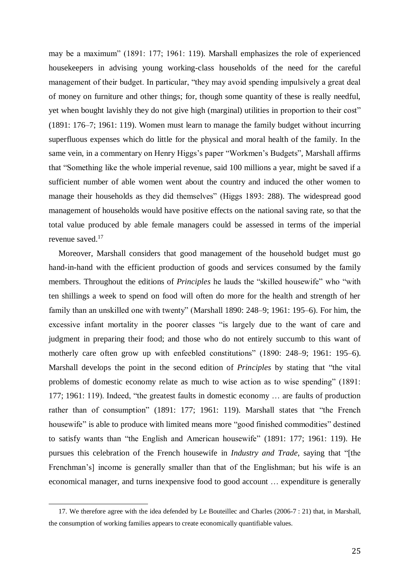may be a maximum" (1891: 177; 1961: 119). Marshall emphasizes the role of experienced housekeepers in advising young working-class households of the need for the careful management of their budget. In particular, "they may avoid spending impulsively a great deal of money on furniture and other things; for, though some quantity of these is really needful, yet when bought lavishly they do not give high (marginal) utilities in proportion to their cost" (1891: 176–7; 1961: 119). Women must learn to manage the family budget without incurring superfluous expenses which do little for the physical and moral health of the family. In the same vein, in a commentary on Henry Higgs's paper "Workmen's Budgets", Marshall affirms that "Something like the whole imperial revenue, said 100 millions a year, might be saved if a sufficient number of able women went about the country and induced the other women to manage their households as they did themselves" (Higgs 1893: 288). The widespread good management of households would have positive effects on the national saving rate, so that the total value produced by able female managers could be assessed in terms of the imperial revenue saved. 17

Moreover, Marshall considers that good management of the household budget must go hand-in-hand with the efficient production of goods and services consumed by the family members. Throughout the editions of *Principles* he lauds the "skilled housewife" who "with ten shillings a week to spend on food will often do more for the health and strength of her family than an unskilled one with twenty" (Marshall 1890: 248–9; 1961: 195–6). For him, the excessive infant mortality in the poorer classes "is largely due to the want of care and judgment in preparing their food; and those who do not entirely succumb to this want of motherly care often grow up with enfeebled constitutions" (1890: 248–9; 1961: 195–6). Marshall develops the point in the second edition of *Principles* by stating that "the vital problems of domestic economy relate as much to wise action as to wise spending" (1891: 177; 1961: 119). Indeed, "the greatest faults in domestic economy … are faults of production rather than of consumption" (1891: 177; 1961: 119). Marshall states that "the French housewife" is able to produce with limited means more "good finished commodities" destined to satisfy wants than "the English and American housewife" (1891: 177; 1961: 119). He pursues this celebration of the French housewife in *Industry and Trade*, saying that "[the Frenchman's] income is generally smaller than that of the Englishman; but his wife is an economical manager, and turns inexpensive food to good account … expenditure is generally

<sup>17.</sup> We therefore agree with the idea defended by Le Bouteillec and Charles (2006-7 : 21) that, in Marshall, the consumption of working families appears to create economically quantifiable values.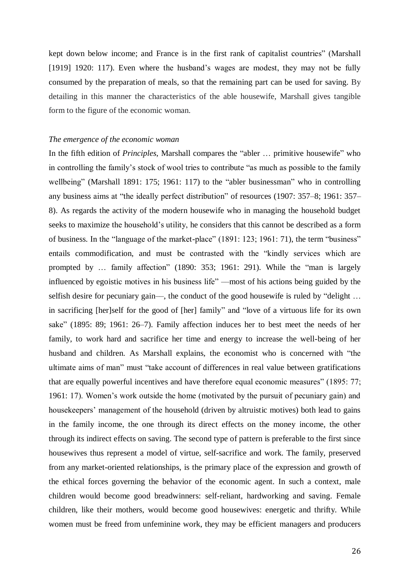kept down below income; and France is in the first rank of capitalist countries" (Marshall [1919] 1920: 117). Even where the husband's wages are modest, they may not be fully consumed by the preparation of meals, so that the remaining part can be used for saving. By detailing in this manner the characteristics of the able housewife, Marshall gives tangible form to the figure of the economic woman.

#### *The emergence of the economic woman*

In the fifth edition of *Principles*, Marshall compares the "abler … primitive housewife" who in controlling the family's stock of wool tries to contribute "as much as possible to the family wellbeing" (Marshall 1891: 175; 1961: 117) to the "abler businessman" who in controlling any business aims at "the ideally perfect distribution" of resources (1907: 357–8; 1961: 357– 8). As regards the activity of the modern housewife who in managing the household budget seeks to maximize the household's utility, he considers that this cannot be described as a form of business. In the "language of the market-place" (1891: 123; 1961: 71), the term "business" entails commodification, and must be contrasted with the "kindly services which are prompted by … family affection" (1890: 353; 1961: 291). While the "man is largely influenced by egoistic motives in his business life" ––most of his actions being guided by the selfish desire for pecuniary gain—, the conduct of the good housewife is ruled by "delight ... in sacrificing [her]self for the good of [her] family" and "love of a virtuous life for its own sake" (1895: 89; 1961: 26–7). Family affection induces her to best meet the needs of her family, to work hard and sacrifice her time and energy to increase the well-being of her husband and children. As Marshall explains, the economist who is concerned with "the ultimate aims of man" must "take account of differences in real value between gratifications that are equally powerful incentives and have therefore equal economic measures" (1895: 77; 1961: 17). Women's work outside the home (motivated by the pursuit of pecuniary gain) and housekeepers' management of the household (driven by altruistic motives) both lead to gains in the family income, the one through its direct effects on the money income, the other through its indirect effects on saving. The second type of pattern is preferable to the first since housewives thus represent a model of virtue, self-sacrifice and work. The family, preserved from any market-oriented relationships, is the primary place of the expression and growth of the ethical forces governing the behavior of the economic agent. In such a context, male children would become good breadwinners: self-reliant, hardworking and saving. Female children, like their mothers, would become good housewives: energetic and thrifty. While women must be freed from unfeminine work, they may be efficient managers and producers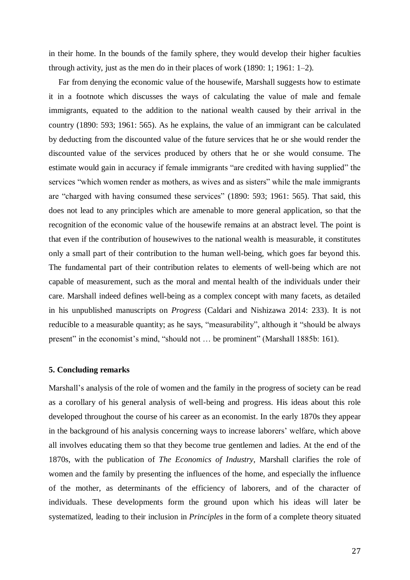in their home. In the bounds of the family sphere, they would develop their higher faculties through activity, just as the men do in their places of work (1890: 1; 1961: 1–2).

Far from denying the economic value of the housewife, Marshall suggests how to estimate it in a footnote which discusses the ways of calculating the value of male and female immigrants, equated to the addition to the national wealth caused by their arrival in the country (1890: 593; 1961: 565). As he explains, the value of an immigrant can be calculated by deducting from the discounted value of the future services that he or she would render the discounted value of the services produced by others that he or she would consume. The estimate would gain in accuracy if female immigrants "are credited with having supplied" the services "which women render as mothers, as wives and as sisters" while the male immigrants are "charged with having consumed these services" (1890: 593; 1961: 565). That said, this does not lead to any principles which are amenable to more general application, so that the recognition of the economic value of the housewife remains at an abstract level. The point is that even if the contribution of housewives to the national wealth is measurable, it constitutes only a small part of their contribution to the human well-being, which goes far beyond this. The fundamental part of their contribution relates to elements of well-being which are not capable of measurement, such as the moral and mental health of the individuals under their care. Marshall indeed defines well-being as a complex concept with many facets, as detailed in his unpublished manuscripts on *Progress* (Caldari and Nishizawa 2014: 233). It is not reducible to a measurable quantity; as he says, "measurability", although it "should be always present" in the economist's mind, "should not … be prominent" (Marshall 1885b: 161).

#### **5. Concluding remarks**

Marshall's analysis of the role of women and the family in the progress of society can be read as a corollary of his general analysis of well-being and progress. His ideas about this role developed throughout the course of his career as an economist. In the early 1870s they appear in the background of his analysis concerning ways to increase laborers' welfare, which above all involves educating them so that they become true gentlemen and ladies. At the end of the 1870s, with the publication of *The Economics of Industry*, Marshall clarifies the role of women and the family by presenting the influences of the home, and especially the influence of the mother, as determinants of the efficiency of laborers, and of the character of individuals. These developments form the ground upon which his ideas will later be systematized, leading to their inclusion in *Principles* in the form of a complete theory situated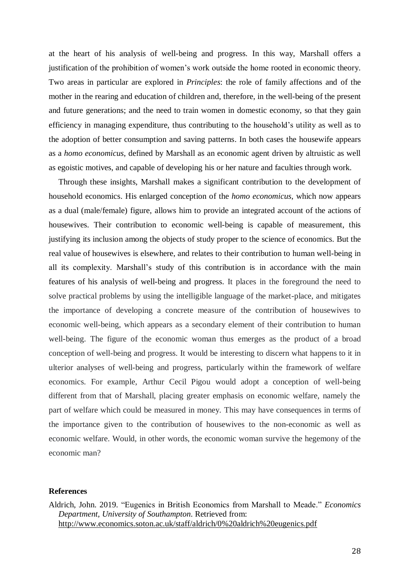at the heart of his analysis of well-being and progress. In this way, Marshall offers a justification of the prohibition of women's work outside the home rooted in economic theory. Two areas in particular are explored in *Principles*: the role of family affections and of the mother in the rearing and education of children and, therefore, in the well-being of the present and future generations; and the need to train women in domestic economy, so that they gain efficiency in managing expenditure, thus contributing to the household's utility as well as to the adoption of better consumption and saving patterns. In both cases the housewife appears as a *homo economicus*, defined by Marshall as an economic agent driven by altruistic as well as egoistic motives, and capable of developing his or her nature and faculties through work.

Through these insights, Marshall makes a significant contribution to the development of household economics. His enlarged conception of the *homo economicus*, which now appears as a dual (male/female) figure, allows him to provide an integrated account of the actions of housewives. Their contribution to economic well-being is capable of measurement, this justifying its inclusion among the objects of study proper to the science of economics. But the real value of housewives is elsewhere, and relates to their contribution to human well-being in all its complexity. Marshall's study of this contribution is in accordance with the main features of his analysis of well-being and progress. It places in the foreground the need to solve practical problems by using the intelligible language of the market-place, and mitigates the importance of developing a concrete measure of the contribution of housewives to economic well-being, which appears as a secondary element of their contribution to human well-being. The figure of the economic woman thus emerges as the product of a broad conception of well-being and progress. It would be interesting to discern what happens to it in ulterior analyses of well-being and progress, particularly within the framework of welfare economics. For example, Arthur Cecil Pigou would adopt a conception of well-being different from that of Marshall, placing greater emphasis on economic welfare, namely the part of welfare which could be measured in money. This may have consequences in terms of the importance given to the contribution of housewives to the non-economic as well as economic welfare. Would, in other words, the economic woman survive the hegemony of the economic man?

#### **References**

Aldrich, John. 2019. "Eugenics in British Economics from Marshall to Meade." *Economics Department, University of Southampton*. Retrieved from: <http://www.economics.soton.ac.uk/staff/aldrich/0%20aldrich%20eugenics.pdf>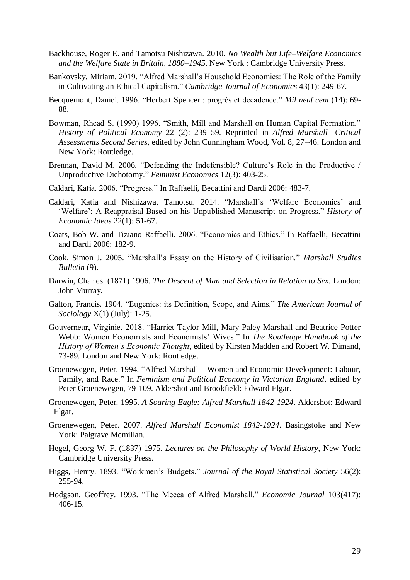- Backhouse, Roger E. and Tamotsu Nishizawa. 2010. *No Wealth but Life–Welfare Economics and the Welfare State in Britain, 1880–1945*. New York : Cambridge University Press.
- Bankovsky, Miriam. 2019. "Alfred Marshall's Household Economics: The Role of the Family in Cultivating an Ethical Capitalism." *Cambridge Journal of Economics* 43(1): 249-67.
- Becquemont, Daniel. 1996. "Herbert Spencer : progrès et decadence." *Mil neuf cent* (14): 69- 88.
- Bowman, Rhead S. (1990) 1996. "Smith, Mill and Marshall on Human Capital Formation." *History of Political Economy* 22 (2): 239–59. Reprinted in *Alfred Marshall—Critical Assessments Second Series*, edited by John Cunningham Wood, Vol. 8, 27–46. London and New York: Routledge.
- Brennan, David M. 2006. "Defending the Indefensible? Culture's Role in the Productive / Unproductive Dichotomy." *Feminist Economics* 12(3): 403-25.
- Caldari, Katia. 2006. "Progress." In Raffaelli, Becattini and Dardi 2006: 483-7.
- Caldari, Katia and Nishizawa, Tamotsu. 2014. "Marshall's 'Welfare Economics' and 'Welfare': A Reappraisal Based on his Unpublished Manuscript on Progress." *History of Economic Ideas* 22(1): 51-67.
- Coats, Bob W. and Tiziano Raffaelli. 2006. "Economics and Ethics." In Raffaelli, Becattini and Dardi 2006: 182-9.
- Cook, Simon J. 2005. "Marshall's Essay on the History of Civilisation." *Marshall Studies Bulletin* (9).
- Darwin, Charles. (1871) 1906. *The Descent of Man and Selection in Relation to Sex*. London: John Murray.
- Galton, Francis. 1904. "Eugenics: its Definition, Scope, and Aims." *The American Journal of Sociology* X(1) (July): 1-25.
- Gouverneur, Virginie. 2018. "Harriet Taylor Mill, Mary Paley Marshall and Beatrice Potter Webb: Women Economists and Economists' Wives." In *The Routledge Handbook of the History of Women's Economic Thought*, edited by Kirsten Madden and Robert W. Dimand, 73-89. London and New York: Routledge.
- Groenewegen, Peter. 1994. "Alfred Marshall Women and Economic Development: Labour, Family, and Race." In *Feminism and Political Economy in Victorian England*, edited by Peter Groenewegen, 79-109. Aldershot and Brookfield: Edward Elgar.
- Groenewegen, Peter. 1995. *A Soaring Eagle: Alfred Marshall 1842-1924*. Aldershot: Edward Elgar.
- Groenewegen, Peter. 2007. *Alfred Marshall Economist 1842-1924*. Basingstoke and New York: Palgrave Mcmillan.
- Hegel, Georg W. F. (1837) 1975. *Lectures on the Philosophy of World History*, New York: Cambridge University Press.
- Higgs, Henry. 1893. "Workmen's Budgets." *Journal of the Royal Statistical Society* 56(2): 255-94.
- Hodgson, Geoffrey. 1993. "The Mecca of Alfred Marshall." *Economic Journal* 103(417): 406-15.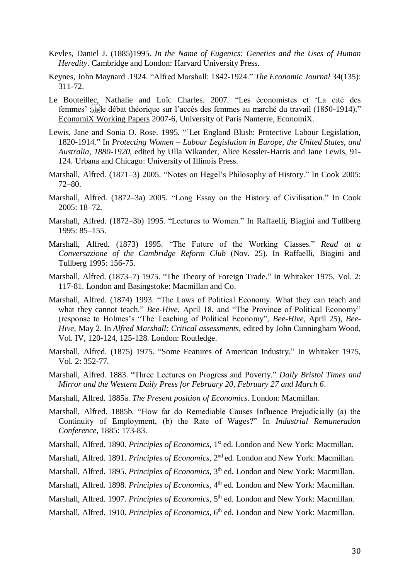- Kevles, Daniel J. (1885)1995. *In the Name of Eugenics: Genetics and the Uses of Human Heredity*. Cambridge and London: Harvard University Press.
- Keynes, John Maynard .1924. "Alfred Marshall: 1842-1924." *The Economic Journal* 34(135): 311-72.
- Le Bouteillec, Nathalie and Loïc Charles. 2007. "Les économistes et 'La cité des femmes' :
le débat théorique sur l'accès des femmes au marché du travail (1850-1914)." [EconomiX Working Papers](https://ideas.repec.org/s/drm/wpaper.html) 2007-6, University of Paris Nanterre, EconomiX.
- Lewis, Jane and Sonia O. Rose. 1995. "'Let England Blush: Protective Labour Legislation, 1820-1914." In *Protecting Women – Labour Legislation in Europe, the United States, and Australia, 1880-1920*, edited by Ulla Wikander, Alice Kessler-Harris and Jane Lewis, 91- 124. Urbana and Chicago: University of Illinois Press.
- Marshall, Alfred. (1871–3) 2005. "Notes on Hegel's Philosophy of History." In Cook 2005: 72–80.
- Marshall, Alfred. (1872–3a) 2005. "Long Essay on the History of Civilisation." In Cook 2005: 18–72.
- Marshall, Alfred. (1872–3b) 1995. "Lectures to Women." In Raffaelli, Biagini and Tullberg 1995: 85–155.
- Marshall, Alfred. (1873) 1995. "The Future of the Working Classes." *Read at a Conversazione of the Cambridge Reform Club* (Nov. 25). In Raffaelli, Biagini and Tullberg 1995: 156-75.
- Marshall, Alfred. (1873–7) 1975. "The Theory of Foreign Trade." In Whitaker 1975, Vol. 2: 117-81. London and Basingstoke: Macmillan and Co.
- Marshall, Alfred. (1874) 1993. "The Laws of Political Economy. What they can teach and what they cannot teach." *Bee-Hive*, April 18, and "The Province of Political Economy" (response to Holmes's "The Teaching of Political Economy", *Bee-Hive*, April 25), *Bee-Hive*, May 2. In *Alfred Marshall: Critical assessments*, edited by John Cunningham Wood, Vol. IV, 120-124, 125-128. London: Routledge.
- Marshall, Alfred. (1875) 1975. "Some Features of American Industry." In Whitaker 1975, Vol. 2: 352-77.
- Marshall, Alfred. 1883. "Three Lectures on Progress and Poverty." *Daily Bristol Times and Mirror and the Western Daily Press for February 20, February 27 and March 6*.
- Marshall, Alfred. 1885a. *The Present position of Economics*. London: Macmillan.
- Marshall, Alfred. 1885b. "How far do Remediable Causes Influence Prejudicially (a) the Continuity of Employment, (b) the Rate of Wages?" In *Industrial Remuneration Conference*, 1885: 173-83.
- Marshall, Alfred. 1890. *Principles of Economics*, 1<sup>st</sup> ed. London and New York: Macmillan.
- Marshall, Alfred. 1891. *Principles of Economics*, 2nd ed. London and New York: Macmillan.
- Marshall, Alfred. 1895. *Principles of Economics*, 3<sup>th</sup> ed. London and New York: Macmillan.
- Marshall, Alfred. 1898. *Principles of Economics*, 4<sup>th</sup> ed. London and New York: Macmillan.
- Marshall, Alfred. 1907. *Principles of Economics*, 5<sup>th</sup> ed. London and New York: Macmillan.
- Marshall, Alfred. 1910. *Principles of Economics*, 6<sup>th</sup> ed. London and New York: Macmillan.